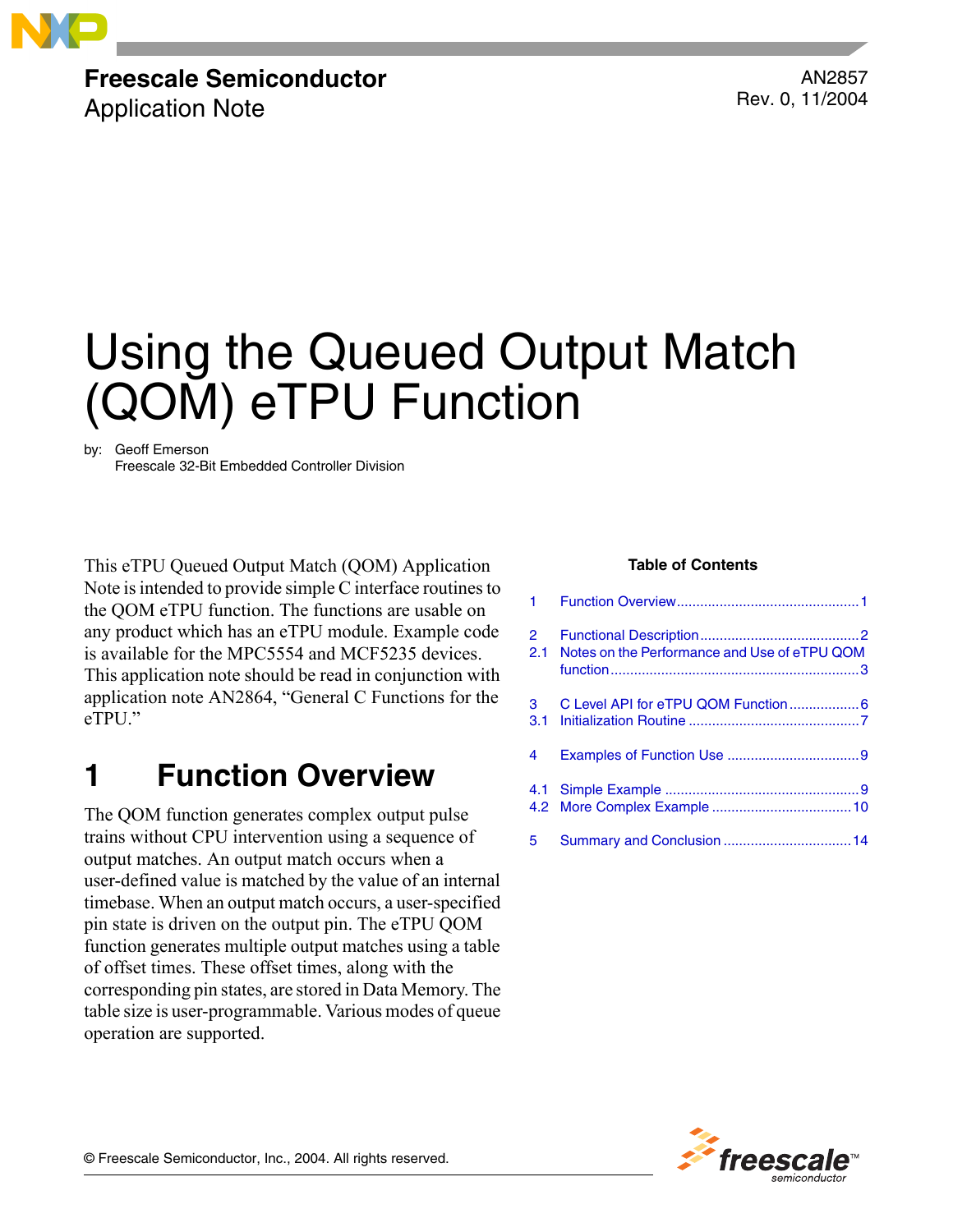

## **Freescale Semiconductor**

Application Note

AN2857 Rev. 0, 11/2004

# Using the Queued Output Match (QOM) eTPU Function

by: Geoff Emerson Freescale 32-Bit Embedded Controller Division

This eTPU Queued Output Match (QOM) Application **Table of Contents** Note is intended to provide simple C interface routines to the QOM eTPU function. The functions are usable on any product which has an eTPU module. Example code is available for the MPC5554 and MCF5235 devices. This application note should be read in conjunction with application note AN2864, "General C Functions for the eTPU."

# <span id="page-0-0"></span>**1 Function Overview**

The QOM function generates complex output pulse trains without CPU intervention using a sequence of output matches. An output match occurs when a user-defined value is matched by the value of an internal timebase. When an output match occurs, a user-specified pin state is driven on the output pin. The eTPU QOM function generates multiple output matches using a table of offset times. These offset times, along with the corresponding pin states, are stored in Data Memory. The table size is user-programmable. Various modes of queue operation are supported.

| $\overline{2}$<br>2.1 | Notes on the Performance and Use of eTPU QOM |
|-----------------------|----------------------------------------------|
| 3                     |                                              |
| 4                     |                                              |
|                       |                                              |
| 5                     | Summary and Conclusion  14                   |

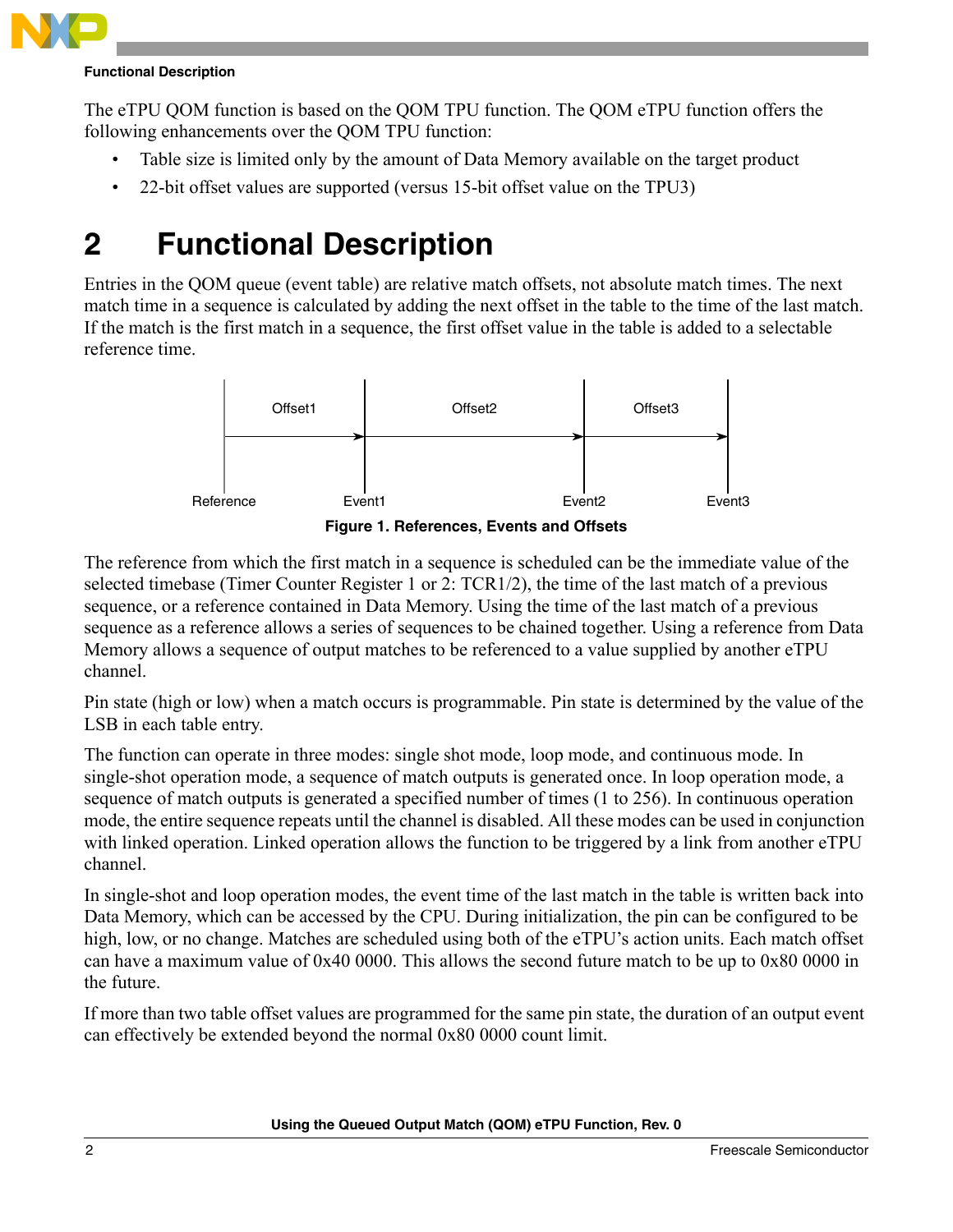

#### **Functional Description**

The eTPU QOM function is based on the QOM TPU function. The QOM eTPU function offers the following enhancements over the QOM TPU function:

- Table size is limited only by the amount of Data Memory available on the target product
- 22-bit offset values are supported (versus 15-bit offset value on the TPU3)

# <span id="page-1-0"></span>**2 Functional Description**

Entries in the QOM queue (event table) are relative match offsets, not absolute match times. The next match time in a sequence is calculated by adding the next offset in the table to the time of the last match. If the match is the first match in a sequence, the first offset value in the table is added to a selectable reference time.



**Figure 1. References, Events and Offsets**

The reference from which the first match in a sequence is scheduled can be the immediate value of the selected timebase (Timer Counter Register 1 or 2: TCR1/2), the time of the last match of a previous sequence, or a reference contained in Data Memory. Using the time of the last match of a previous sequence as a reference allows a series of sequences to be chained together. Using a reference from Data Memory allows a sequence of output matches to be referenced to a value supplied by another eTPU channel.

Pin state (high or low) when a match occurs is programmable. Pin state is determined by the value of the LSB in each table entry.

The function can operate in three modes: single shot mode, loop mode, and continuous mode. In single-shot operation mode, a sequence of match outputs is generated once. In loop operation mode, a sequence of match outputs is generated a specified number of times (1 to 256). In continuous operation mode, the entire sequence repeats until the channel is disabled. All these modes can be used in conjunction with linked operation. Linked operation allows the function to be triggered by a link from another eTPU channel.

In single-shot and loop operation modes, the event time of the last match in the table is written back into Data Memory, which can be accessed by the CPU. During initialization, the pin can be configured to be high, low, or no change. Matches are scheduled using both of the eTPU's action units. Each match offset can have a maximum value of 0x40 0000. This allows the second future match to be up to 0x80 0000 in the future.

If more than two table offset values are programmed for the same pin state, the duration of an output event can effectively be extended beyond the normal 0x80 0000 count limit.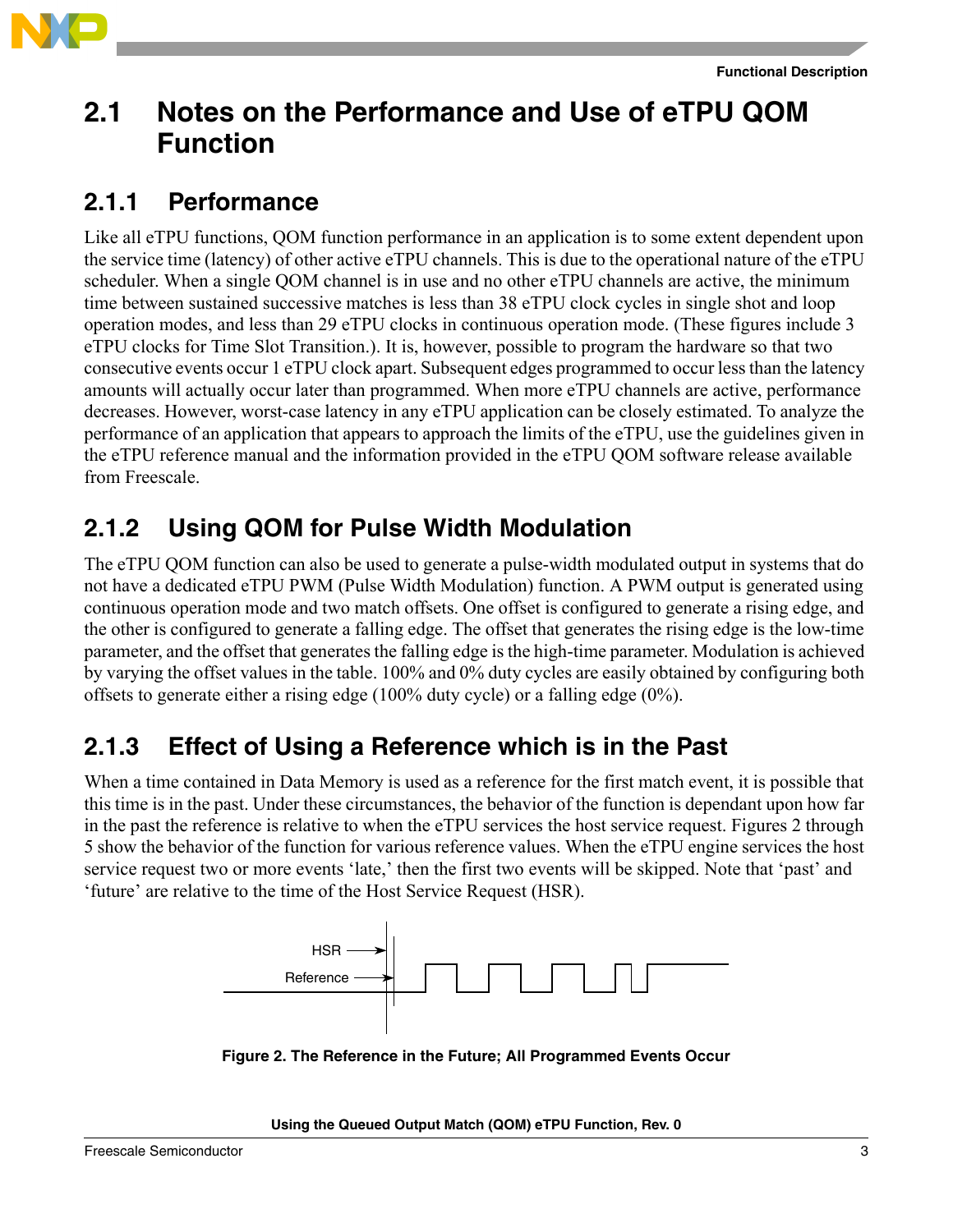

### **2.1 Notes on the Performance and Use of eTPU QOM Function**

#### **2.1.1 Performance**

Like all eTPU functions, QOM function performance in an application is to some extent dependent upon the service time (latency) of other active eTPU channels. This is due to the operational nature of the eTPU scheduler. When a single QOM channel is in use and no other eTPU channels are active, the minimum time between sustained successive matches is less than 38 eTPU clock cycles in single shot and loop operation modes, and less than 29 eTPU clocks in continuous operation mode. (These figures include 3 eTPU clocks for Time Slot Transition.). It is, however, possible to program the hardware so that two consecutive events occur 1 eTPU clock apart. Subsequent edges programmed to occur less than the latency amounts will actually occur later than programmed. When more eTPU channels are active, performance decreases. However, worst-case latency in any eTPU application can be closely estimated. To analyze the performance of an application that appears to approach the limits of the eTPU, use the guidelines given in the eTPU reference manual and the information provided in the eTPU QOM software release available from Freescale.

### **2.1.2 Using QOM for Pulse Width Modulation**

The eTPU QOM function can also be used to generate a pulse-width modulated output in systems that do not have a dedicated eTPU PWM (Pulse Width Modulation) function. A PWM output is generated using continuous operation mode and two match offsets. One offset is configured to generate a rising edge, and the other is configured to generate a falling edge. The offset that generates the rising edge is the low-time parameter, and the offset that generates the falling edge is the high-time parameter. Modulation is achieved by varying the offset values in the table. 100% and 0% duty cycles are easily obtained by configuring both offsets to generate either a rising edge (100% duty cycle) or a falling edge (0%).

### **2.1.3 Effect of Using a Reference which is in the Past**

When a time contained in Data Memory is used as a reference for the first match event, it is possible that this time is in the past. Under these circumstances, the behavior of the function is dependant upon how far in the past the reference is relative to when the eTPU services the host service request. Figures 2 through 5 show the behavior of the function for various reference values. When the eTPU engine services the host service request two or more events 'late,' then the first two events will be skipped. Note that 'past' and 'future' are relative to the time of the Host Service Request (HSR).



**Figure 2. The Reference in the Future; All Programmed Events Occur**

#### **Using the Queued Output Match (QOM) eTPU Function, Rev. 0**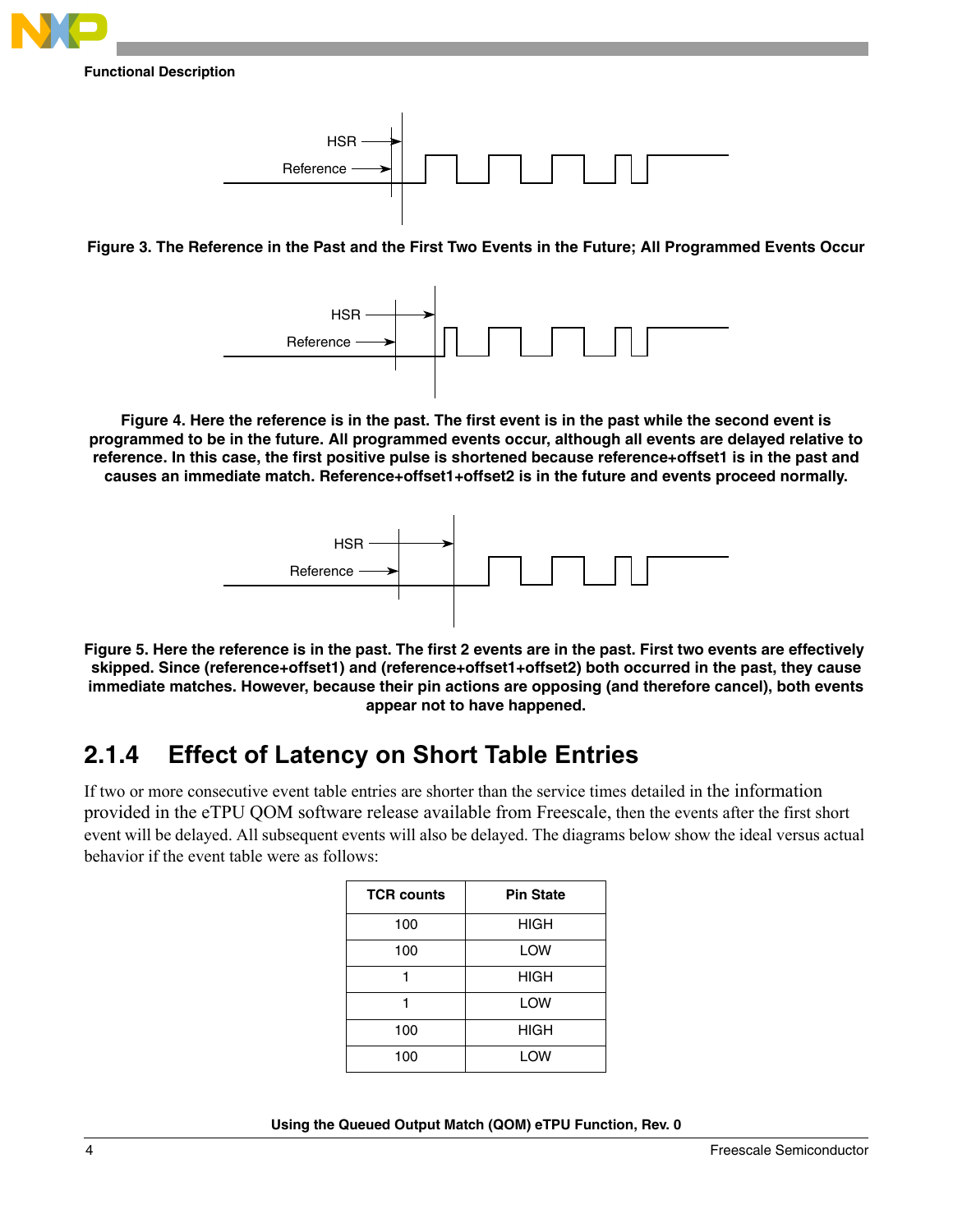

**Functional Description**



**Figure 3. The Reference in the Past and the First Two Events in the Future; All Programmed Events Occur**



**Figure 4. Here the reference is in the past. The first event is in the past while the second event is programmed to be in the future. All programmed events occur, although all events are delayed relative to reference. In this case, the first positive pulse is shortened because reference+offset1 is in the past and causes an immediate match. Reference+offset1+offset2 is in the future and events proceed normally.**



**Figure 5. Here the reference is in the past. The first 2 events are in the past. First two events are effectively skipped. Since (reference+offset1) and (reference+offset1+offset2) both occurred in the past, they cause immediate matches. However, because their pin actions are opposing (and therefore cancel), both events appear not to have happened.** 

### **2.1.4 Effect of Latency on Short Table Entries**

If two or more consecutive event table entries are shorter than the service times detailed in the information provided in the eTPU QOM software release available from Freescale, then the events after the first short event will be delayed. All subsequent events will also be delayed. The diagrams below show the ideal versus actual behavior if the event table were as follows:

| <b>TCR counts</b> | <b>Pin State</b> |
|-------------------|------------------|
| 100               | HIGH             |
| 100               | LOW              |
|                   | HIGH             |
|                   | LOW              |
| 100               | HIGH             |
| 100               | LOW              |

**Using the Queued Output Match (QOM) eTPU Function, Rev. 0**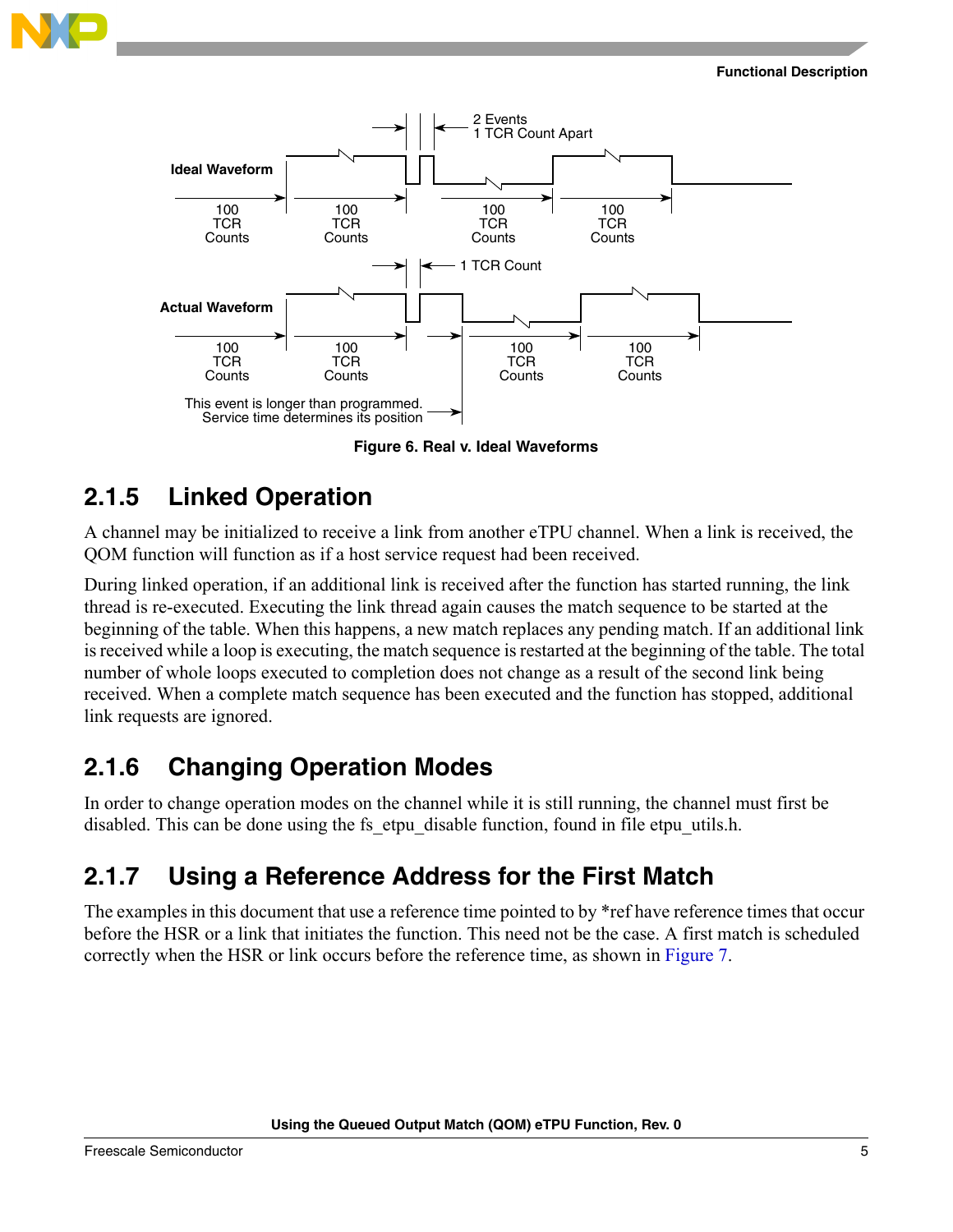





**Figure 6. Real v. Ideal Waveforms**

### **2.1.5 Linked Operation**

A channel may be initialized to receive a link from another eTPU channel. When a link is received, the QOM function will function as if a host service request had been received.

During linked operation, if an additional link is received after the function has started running, the link thread is re-executed. Executing the link thread again causes the match sequence to be started at the beginning of the table. When this happens, a new match replaces any pending match. If an additional link is received while a loop is executing, the match sequence is restarted at the beginning of the table. The total number of whole loops executed to completion does not change as a result of the second link being received. When a complete match sequence has been executed and the function has stopped, additional link requests are ignored.

### **2.1.6 Changing Operation Modes**

In order to change operation modes on the channel while it is still running, the channel must first be disabled. This can be done using the fs etpu disable function, found in file etpu utils.h.

### **2.1.7 Using a Reference Address for the First Match**

The examples in this document that use a reference time pointed to by \*ref have reference times that occur before the HSR or a link that initiates the function. This need not be the case. A first match is scheduled correctly when the HSR or link occurs before the reference time, as shown in Figure 7.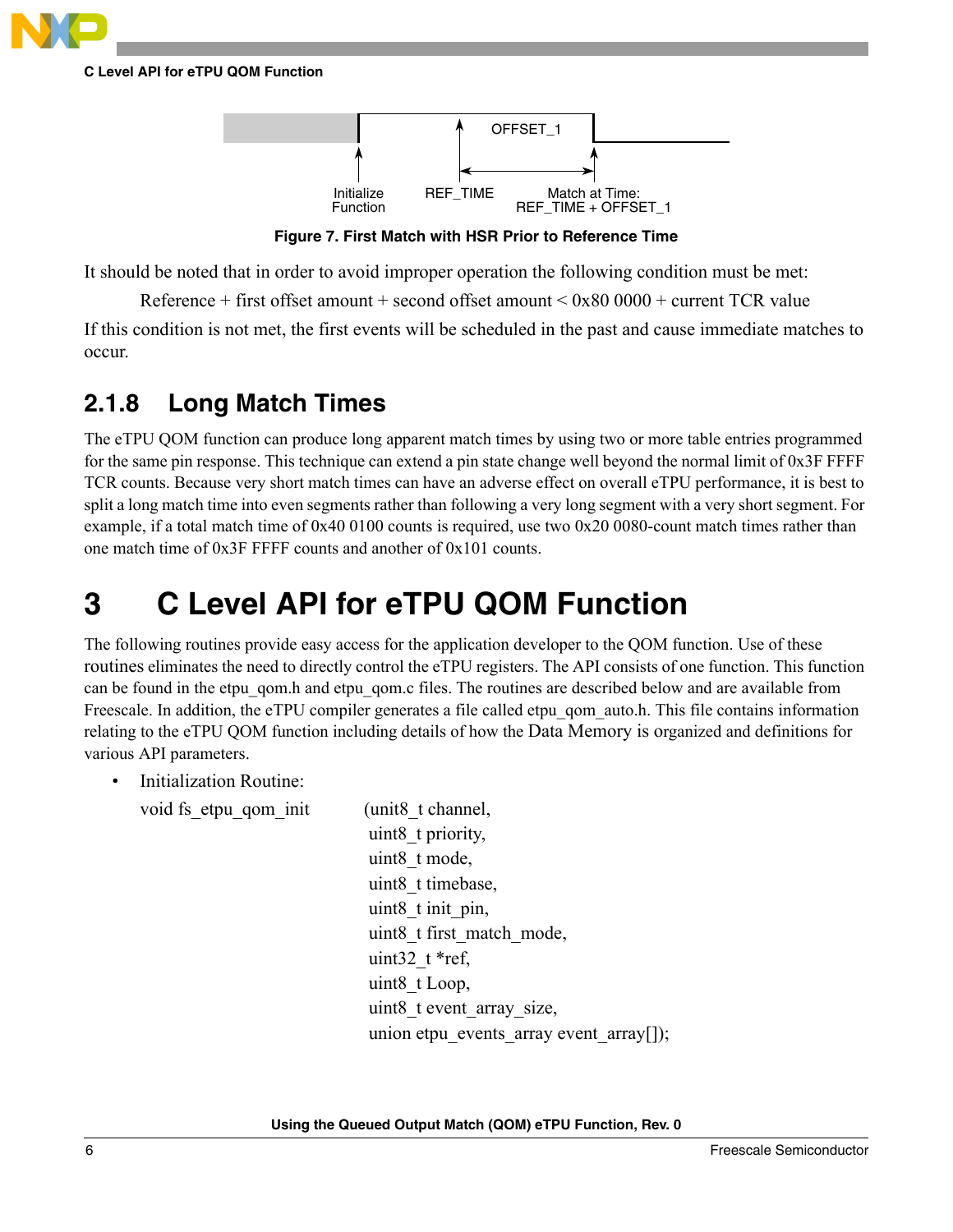



**Figure 7. First Match with HSR Prior to Reference Time**

It should be noted that in order to avoid improper operation the following condition must be met:

Reference  $+$  first offset amount  $+$  second offset amount  $< 0x800000 +$  current TCR value

If this condition is not met, the first events will be scheduled in the past and cause immediate matches to occur.

#### **2.1.8 Long Match Times**

The eTPU QOM function can produce long apparent match times by using two or more table entries programmed for the same pin response. This technique can extend a pin state change well beyond the normal limit of 0x3F FFFF TCR counts. Because very short match times can have an adverse effect on overall eTPU performance, it is best to split a long match time into even segments rather than following a very long segment with a very short segment. For example, if a total match time of 0x40 0100 counts is required, use two 0x20 0080-count match times rather than one match time of 0x3F FFFF counts and another of 0x101 counts.

## <span id="page-5-0"></span>**3 C Level API for eTPU QOM Function**

The following routines provide easy access for the application developer to the QOM function. Use of these routines eliminates the need to directly control the eTPU registers. The API consists of one function. This function can be found in the etpu\_qom.h and etpu\_qom.c files. The routines are described below and are available from Freescale. In addition, the eTPU compiler generates a file called etpu qom auto.h. This file contains information relating to the eTPU QOM function including details of how the Data Memory is organized and definitions for various API parameters.

• Initialization Routine:

void fs etpu qom init (unit8 t channel,

uint8 t priority, uint8 t mode, uint8 t timebase, uint8 t init\_pin, uint8 t first\_match\_mode, uint32 t \*ref, uint8\_t Loop, uint8 t event array size, union etpu events array event array[]);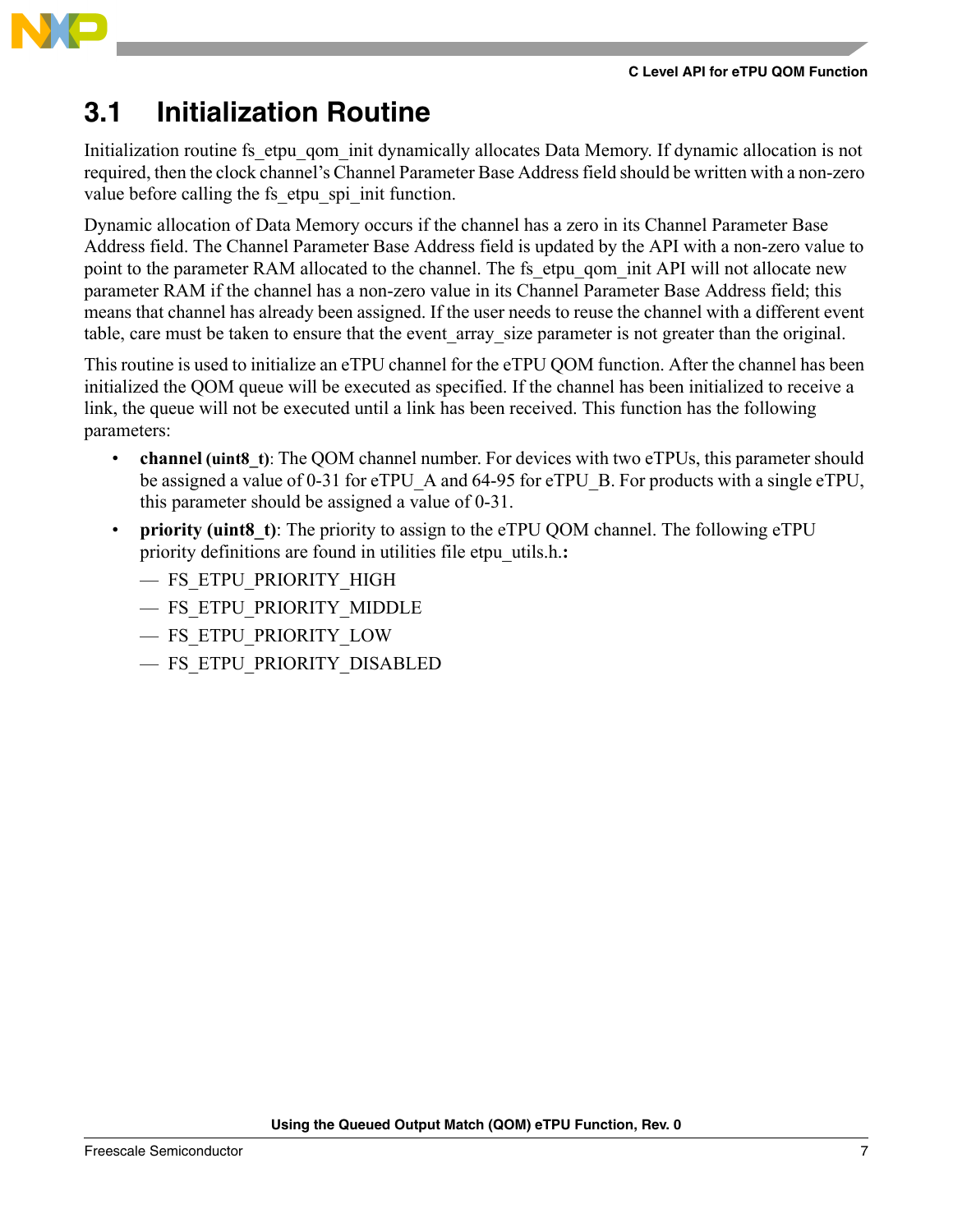

## <span id="page-6-0"></span>**3.1 Initialization Routine**

Initialization routine fs\_etpu\_qom\_init dynamically allocates Data Memory. If dynamic allocation is not required, then the clock channel's Channel Parameter Base Address field should be written with a non-zero value before calling the fs\_etpu\_spi\_init function.

Dynamic allocation of Data Memory occurs if the channel has a zero in its Channel Parameter Base Address field. The Channel Parameter Base Address field is updated by the API with a non-zero value to point to the parameter RAM allocated to the channel. The fs\_etpu\_qom\_init API will not allocate new parameter RAM if the channel has a non-zero value in its Channel Parameter Base Address field; this means that channel has already been assigned. If the user needs to reuse the channel with a different event table, care must be taken to ensure that the event\_array\_size parameter is not greater than the original.

This routine is used to initialize an eTPU channel for the eTPU QOM function. After the channel has been initialized the QOM queue will be executed as specified. If the channel has been initialized to receive a link, the queue will not be executed until a link has been received. This function has the following parameters:

- **channel (uint8\_t)**: The QOM channel number. For devices with two eTPUs, this parameter should be assigned a value of 0-31 for eTPU A and 64-95 for eTPU B. For products with a single eTPU, this parameter should be assigned a value of 0-31.
- **priority (uint8** t): The priority to assign to the eTPU QOM channel. The following eTPU priority definitions are found in utilities file etpu\_utils.h.**:**
	- FS\_ETPU\_PRIORITY\_HIGH
	- FS\_ETPU\_PRIORITY\_MIDDLE
	- FS\_ETPU\_PRIORITY\_LOW
	- FS\_ETPU\_PRIORITY\_DISABLED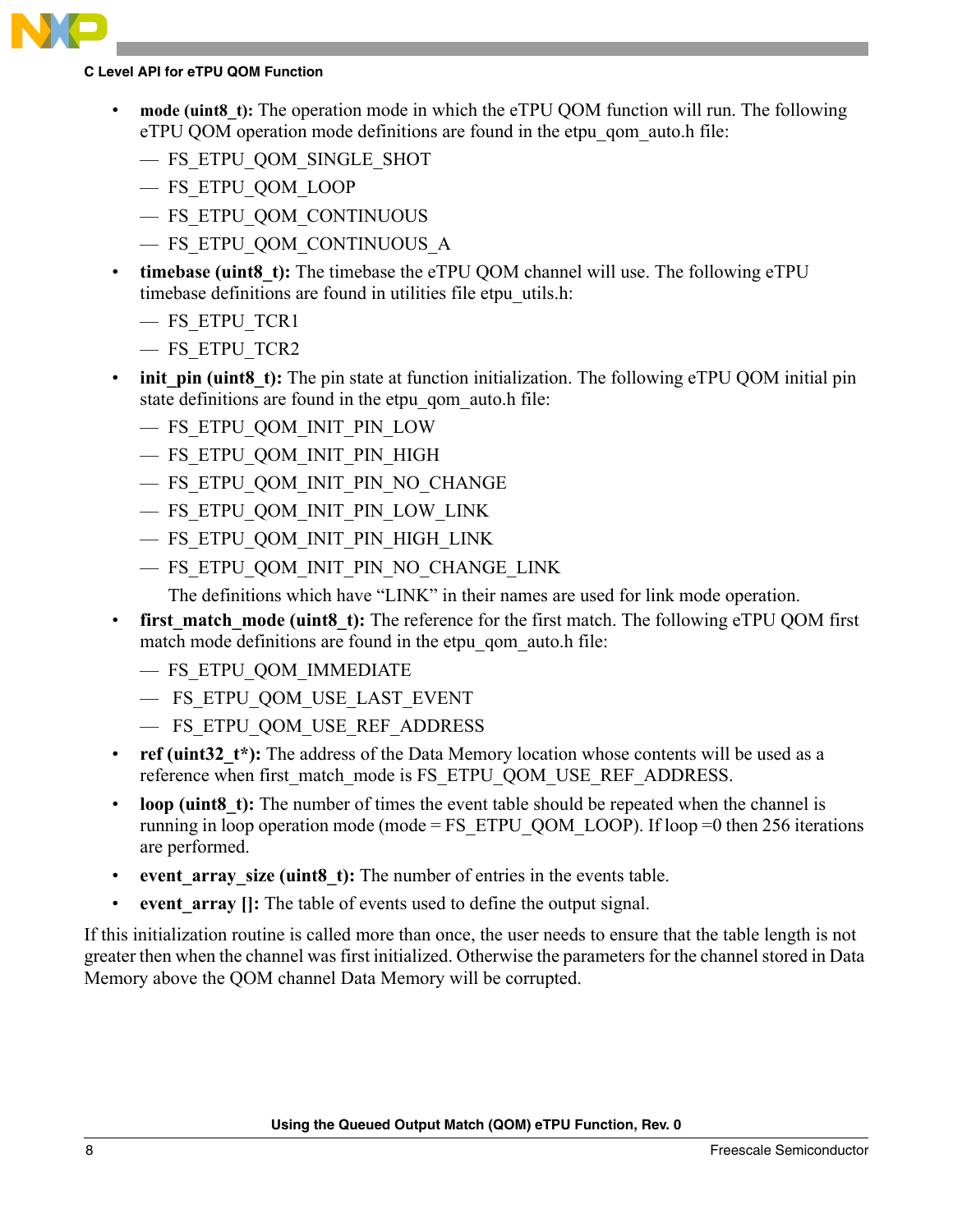#### **C Level API for eTPU QOM Function**

- **mode (uint8** t): The operation mode in which the eTPU OOM function will run. The following eTPU QOM operation mode definitions are found in the etpu\_qom\_auto.h file:
	- FS\_ETPU\_QOM\_SINGLE\_SHOT
	- FS\_ETPU\_QOM\_LOOP
	- FS\_ETPU\_QOM\_CONTINUOUS
	- FS\_ETPU\_QOM\_CONTINUOUS\_A
- **timebase (uint8 t):** The timebase the eTPU QOM channel will use. The following eTPU timebase definitions are found in utilities file etpu\_utils.h:
	- FS\_ETPU\_TCR1
	- FS\_ETPU\_TCR2
- **init pin (uint8 t):** The pin state at function initialization. The following eTPU QOM initial pin state definitions are found in the etpu\_qom\_auto.h file:
	- FS\_ETPU\_QOM\_INIT\_PIN\_LOW
	- FS\_ETPU\_QOM\_INIT\_PIN\_HIGH
	- FS\_ETPU\_QOM\_INIT\_PIN\_NO\_CHANGE
	- FS\_ETPU\_QOM\_INIT\_PIN\_LOW\_LINK
	- FS\_ETPU\_QOM\_INIT\_PIN\_HIGH\_LINK
	- FS\_ETPU\_QOM\_INIT\_PIN\_NO\_CHANGE\_LINK

The definitions which have "LINK" in their names are used for link mode operation.

- **first match mode (uint8 t):** The reference for the first match. The following eTPU QOM first match mode definitions are found in the etpu qom auto.h file:
	- FS\_ETPU\_QOM\_IMMEDIATE
	- FS\_ETPU\_QOM\_USE\_LAST\_EVENT
	- FS\_ETPU\_QOM\_USE\_REF\_ADDRESS
- **ref (uint32** t\*): The address of the Data Memory location whose contents will be used as a reference when first\_match\_mode is FS\_ETPU\_QOM\_USE\_REF\_ADDRESS.
- **loop (uint8** t): The number of times the event table should be repeated when the channel is running in loop operation mode (mode = FS\_ETPU\_QOM\_LOOP). If loop =0 then 256 iterations are performed.
- **event array size (uint8 t):** The number of entries in the events table.
- **event array**  $\left\| \cdot \right\|$ **:** The table of events used to define the output signal.

If this initialization routine is called more than once, the user needs to ensure that the table length is not greater then when the channel was first initialized. Otherwise the parameters for the channel stored in Data Memory above the QOM channel Data Memory will be corrupted.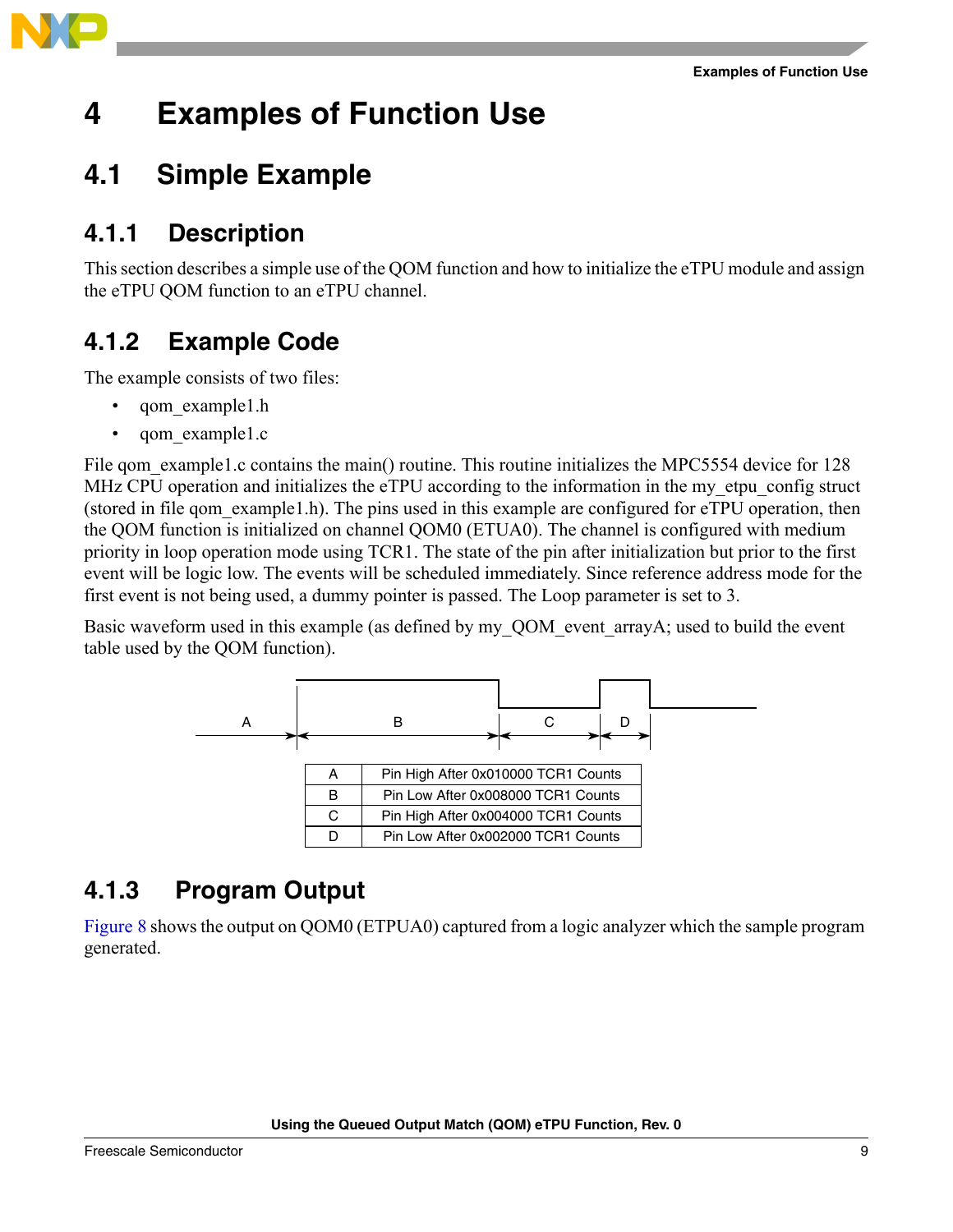

## <span id="page-8-0"></span>**4 Examples of Function Use**

### <span id="page-8-1"></span>**4.1 Simple Example**

#### **4.1.1 Description**

This section describes a simple use of the QOM function and how to initialize the eTPU module and assign the eTPU QOM function to an eTPU channel.

### **4.1.2 Example Code**

The example consists of two files:

- qom example1.h
- qom\_example1.c

File gom example1.c contains the main() routine. This routine initializes the MPC5554 device for 128 MHz CPU operation and initializes the eTPU according to the information in the my etpu config struct (stored in file gom example1.h). The pins used in this example are configured for eTPU operation, then the QOM function is initialized on channel QOM0 (ETUA0). The channel is configured with medium priority in loop operation mode using TCR1. The state of the pin after initialization but prior to the first event will be logic low. The events will be scheduled immediately. Since reference address mode for the first event is not being used, a dummy pointer is passed. The Loop parameter is set to 3.

Basic waveform used in this example (as defined by my\_QOM\_event\_arrayA; used to build the event table used by the QOM function).



### **4.1.3 Program Output**

[Figure 8](#page-9-1) shows the output on QOM0 (ETPUA0) captured from a logic analyzer which the sample program generated.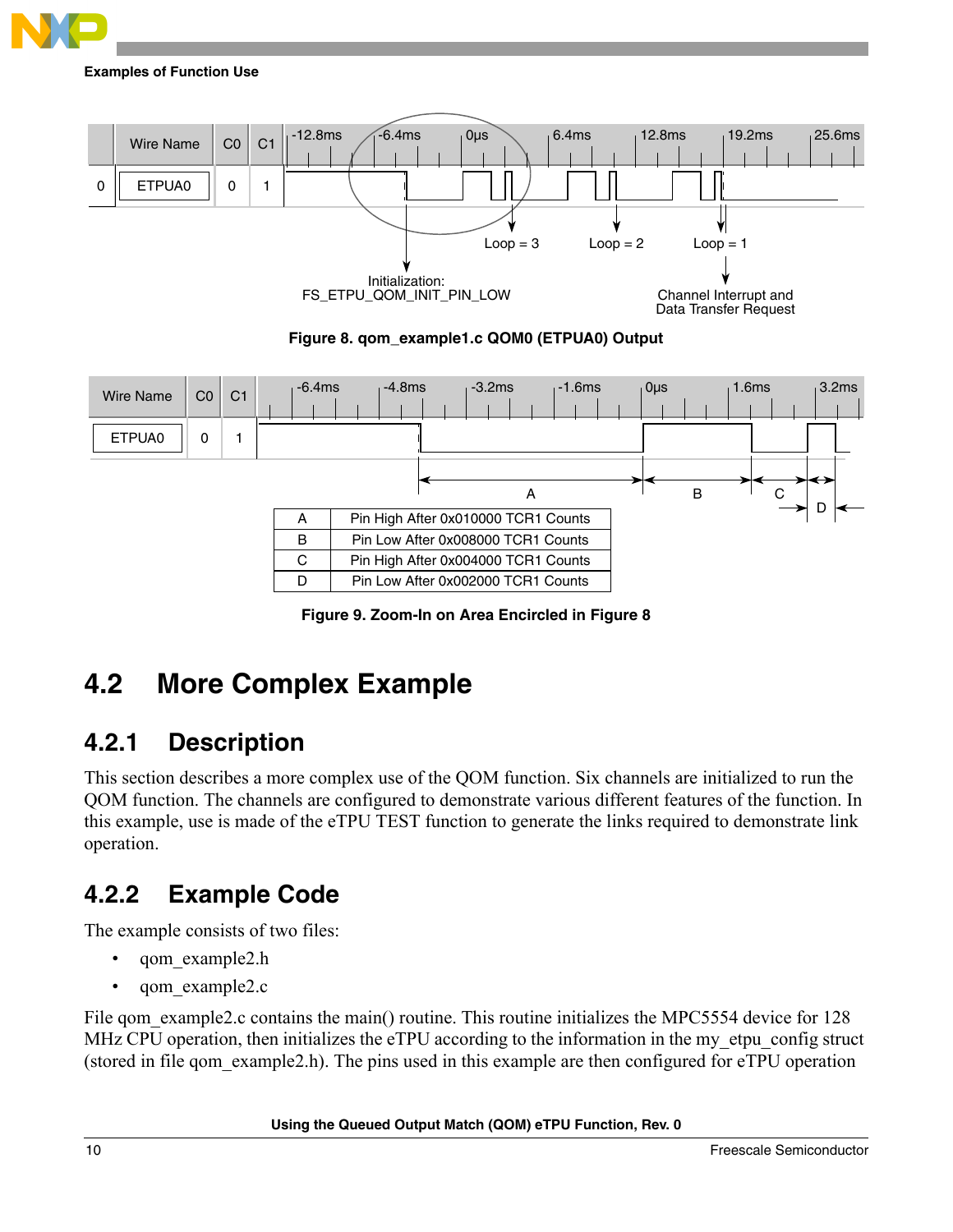

#### **Examples of Function Use**



**Figure 8. qom\_example1.c QOM0 (ETPUA0) Output**

<span id="page-9-1"></span>

**Figure 9. Zoom-In on Area Encircled in Figure 8**

## <span id="page-9-0"></span>**4.2 More Complex Example**

### **4.2.1 Description**

This section describes a more complex use of the QOM function. Six channels are initialized to run the QOM function. The channels are configured to demonstrate various different features of the function. In this example, use is made of the eTPU TEST function to generate the links required to demonstrate link operation.

### **4.2.2 Example Code**

The example consists of two files:

- qom example2.h
- qom\_example2.c

File gom example2.c contains the main() routine. This routine initializes the MPC5554 device for 128 MHz CPU operation, then initializes the eTPU according to the information in the my etpu config struct (stored in file qom\_example2.h). The pins used in this example are then configured for eTPU operation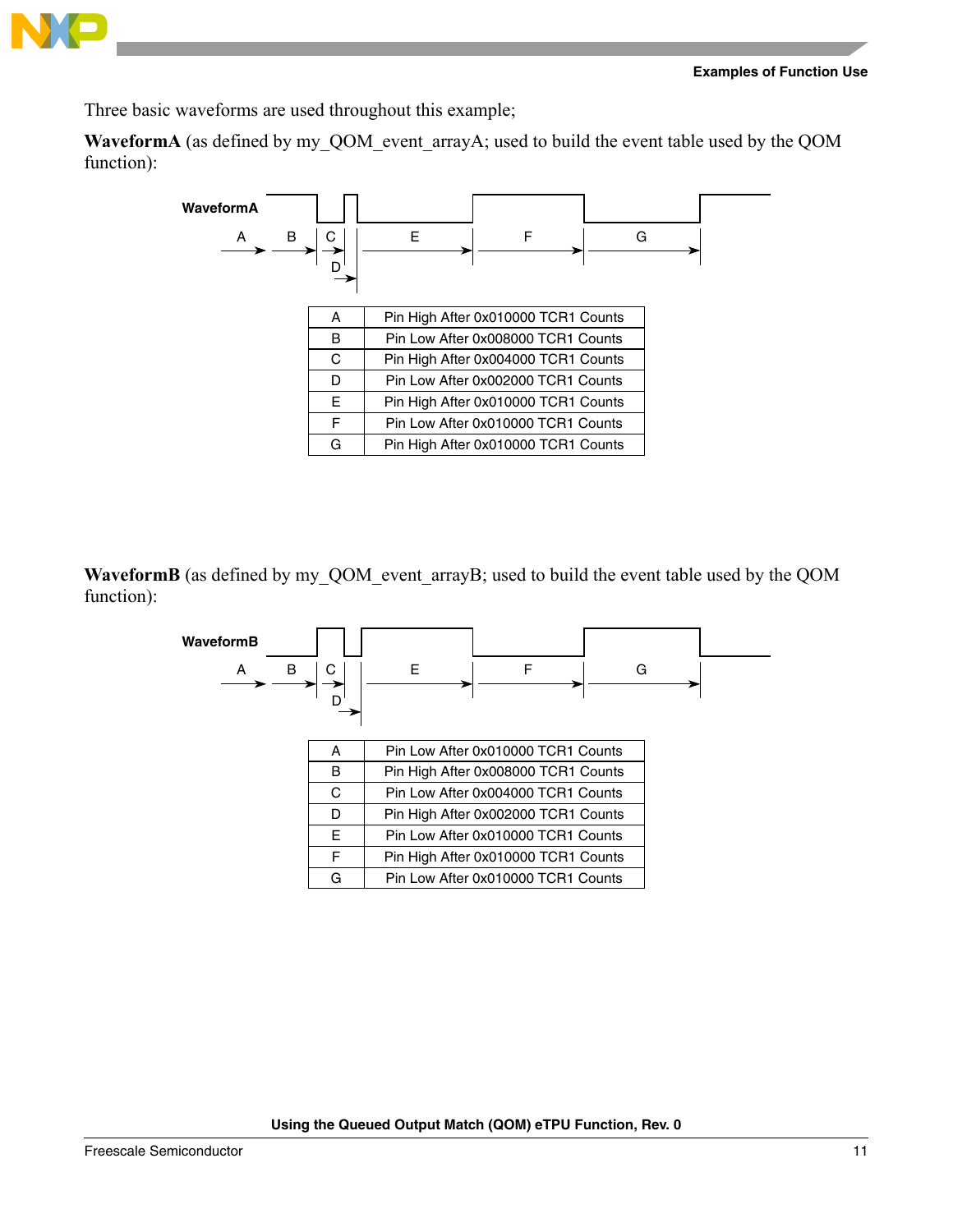

Three basic waveforms are used throughout this example;

WaveformA (as defined by my\_QOM\_event\_arrayA; used to build the event table used by the QOM function):

| WaveformA |   |                                     |
|-----------|---|-------------------------------------|
| В<br>A    | С | E<br>F<br>G                         |
|           | A | Pin High After 0x010000 TCR1 Counts |
|           | B | Pin Low After 0x008000 TCR1 Counts  |
|           | С | Pin High After 0x004000 TCR1 Counts |
|           | D | Pin Low After 0x002000 TCR1 Counts  |
|           | F | Pin High After 0x010000 TCR1 Counts |
|           | F | Pin Low After 0x010000 TCR1 Counts  |
|           | G | Pin High After 0x010000 TCR1 Counts |

WaveformB (as defined by my\_QOM\_event\_arrayB; used to build the event table used by the QOM function):

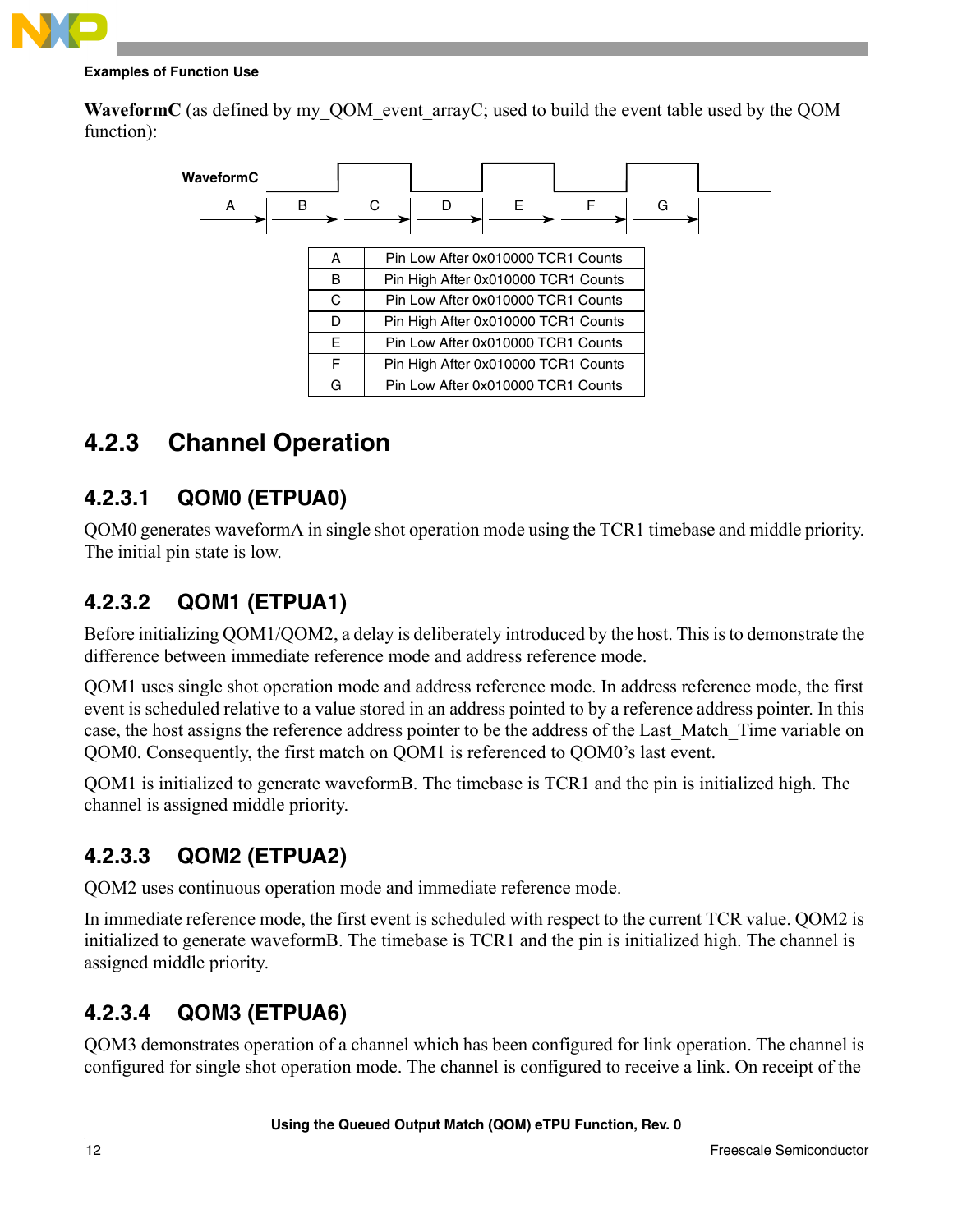

#### **Examples of Function Use**

WaveformC (as defined by my\_QOM\_event\_arrayC; used to build the event table used by the QOM function):



### **4.2.3 Channel Operation**

#### **4.2.3.1 QOM0 (ETPUA0)**

QOM0 generates waveformA in single shot operation mode using the TCR1 timebase and middle priority. The initial pin state is low.

#### **4.2.3.2 QOM1 (ETPUA1)**

Before initializing QOM1/QOM2, a delay is deliberately introduced by the host. This is to demonstrate the difference between immediate reference mode and address reference mode.

QOM1 uses single shot operation mode and address reference mode. In address reference mode, the first event is scheduled relative to a value stored in an address pointed to by a reference address pointer. In this case, the host assigns the reference address pointer to be the address of the Last\_Match\_Time variable on QOM0. Consequently, the first match on QOM1 is referenced to QOM0's last event.

QOM1 is initialized to generate waveformB. The timebase is TCR1 and the pin is initialized high. The channel is assigned middle priority.

#### **4.2.3.3 QOM2 (ETPUA2)**

QOM2 uses continuous operation mode and immediate reference mode.

In immediate reference mode, the first event is scheduled with respect to the current TCR value. QOM2 is initialized to generate waveformB. The timebase is TCR1 and the pin is initialized high. The channel is assigned middle priority.

#### **4.2.3.4 QOM3 (ETPUA6)**

QOM3 demonstrates operation of a channel which has been configured for link operation. The channel is configured for single shot operation mode. The channel is configured to receive a link. On receipt of the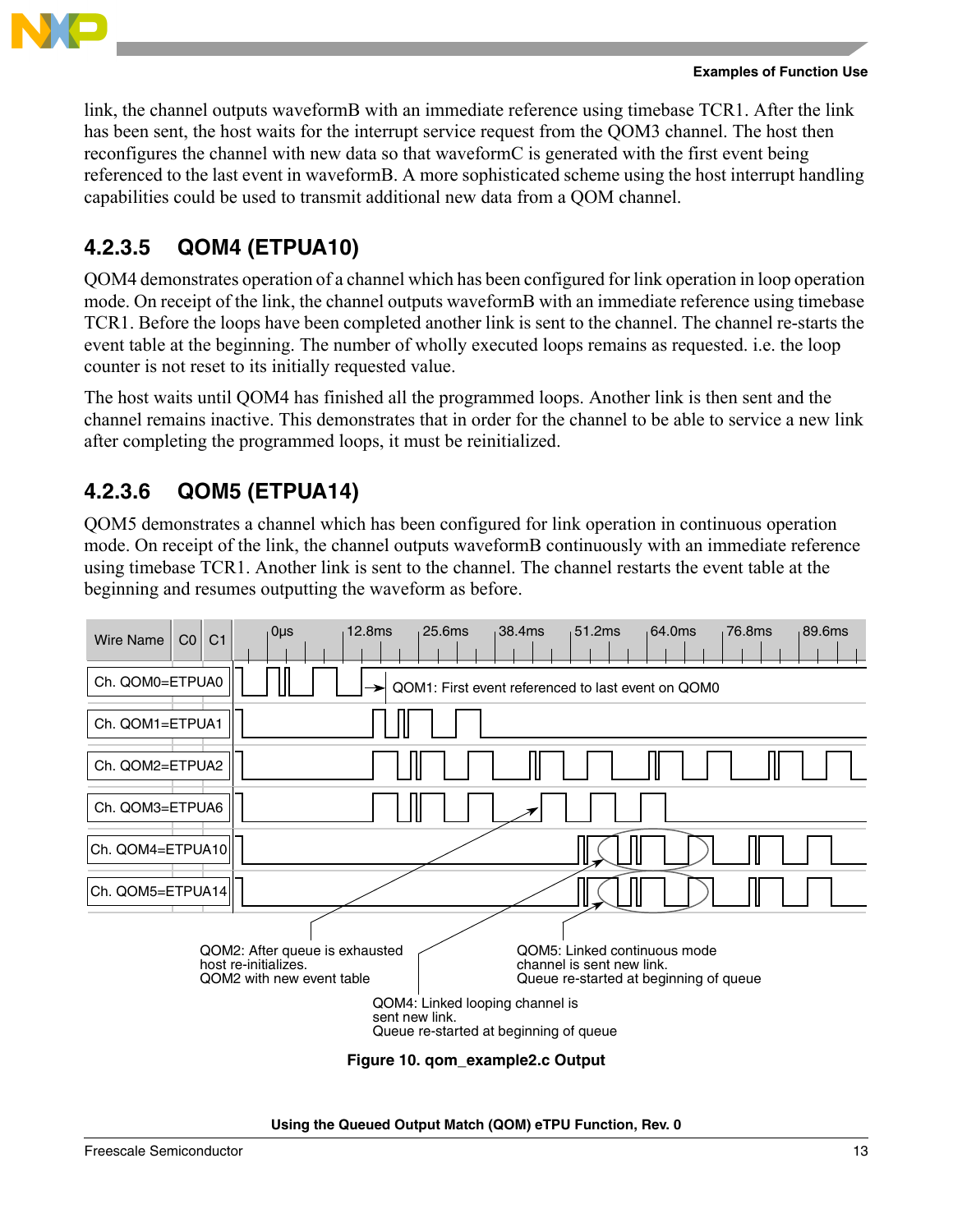

link, the channel outputs waveformB with an immediate reference using timebase TCR1. After the link has been sent, the host waits for the interrupt service request from the QOM3 channel. The host then reconfigures the channel with new data so that waveformC is generated with the first event being referenced to the last event in waveformB. A more sophisticated scheme using the host interrupt handling capabilities could be used to transmit additional new data from a QOM channel.

#### **4.2.3.5 QOM4 (ETPUA10)**

QOM4 demonstrates operation of a channel which has been configured for link operation in loop operation mode. On receipt of the link, the channel outputs waveformB with an immediate reference using timebase TCR1. Before the loops have been completed another link is sent to the channel. The channel re-starts the event table at the beginning. The number of wholly executed loops remains as requested. i.e. the loop counter is not reset to its initially requested value.

The host waits until QOM4 has finished all the programmed loops. Another link is then sent and the channel remains inactive. This demonstrates that in order for the channel to be able to service a new link after completing the programmed loops, it must be reinitialized.

#### **4.2.3.6 QOM5 (ETPUA14)**

QOM5 demonstrates a channel which has been configured for link operation in continuous operation mode. On receipt of the link, the channel outputs waveformB continuously with an immediate reference using timebase TCR1. Another link is sent to the channel. The channel restarts the event table at the beginning and resumes outputting the waveform as before.

| <b>Wire Name</b><br>CO <sub>1</sub><br>C <sub>1</sub>                                                                                                                                      | $0\mu s$<br>12.8 <sub>ms</sub><br>25.6ms<br>38.4ms<br>$-51.2ms$<br>64.0ms<br>76.8ms<br>89.6ms |  |  |  |  |
|--------------------------------------------------------------------------------------------------------------------------------------------------------------------------------------------|-----------------------------------------------------------------------------------------------|--|--|--|--|
| Ch. QOM0=ETPUA0                                                                                                                                                                            | QOM1: First event referenced to last event on QOM0<br>➤                                       |  |  |  |  |
| Ch. QOM1=ETPUA1                                                                                                                                                                            |                                                                                               |  |  |  |  |
| Ch. QOM2=ETPUA2                                                                                                                                                                            |                                                                                               |  |  |  |  |
| Ch. QOM3=ETPUA6                                                                                                                                                                            |                                                                                               |  |  |  |  |
| Ch. QOM4=ETPUA10                                                                                                                                                                           |                                                                                               |  |  |  |  |
| Ch. QOM5=ETPUA14                                                                                                                                                                           |                                                                                               |  |  |  |  |
|                                                                                                                                                                                            |                                                                                               |  |  |  |  |
| QOM2: After queue is exhausted<br>QOM5: Linked continuous mode<br>host re-initializes.<br>channel is sent new link.<br>QOM2 with new event table<br>Queue re-started at beginning of queue |                                                                                               |  |  |  |  |
|                                                                                                                                                                                            | QOM4: Linked looping channel is<br>sent new link.<br>Queue re-started at beginning of queue   |  |  |  |  |
| Figure 10. qom_example2.c Output                                                                                                                                                           |                                                                                               |  |  |  |  |

**Using the Queued Output Match (QOM) eTPU Function, Rev. 0**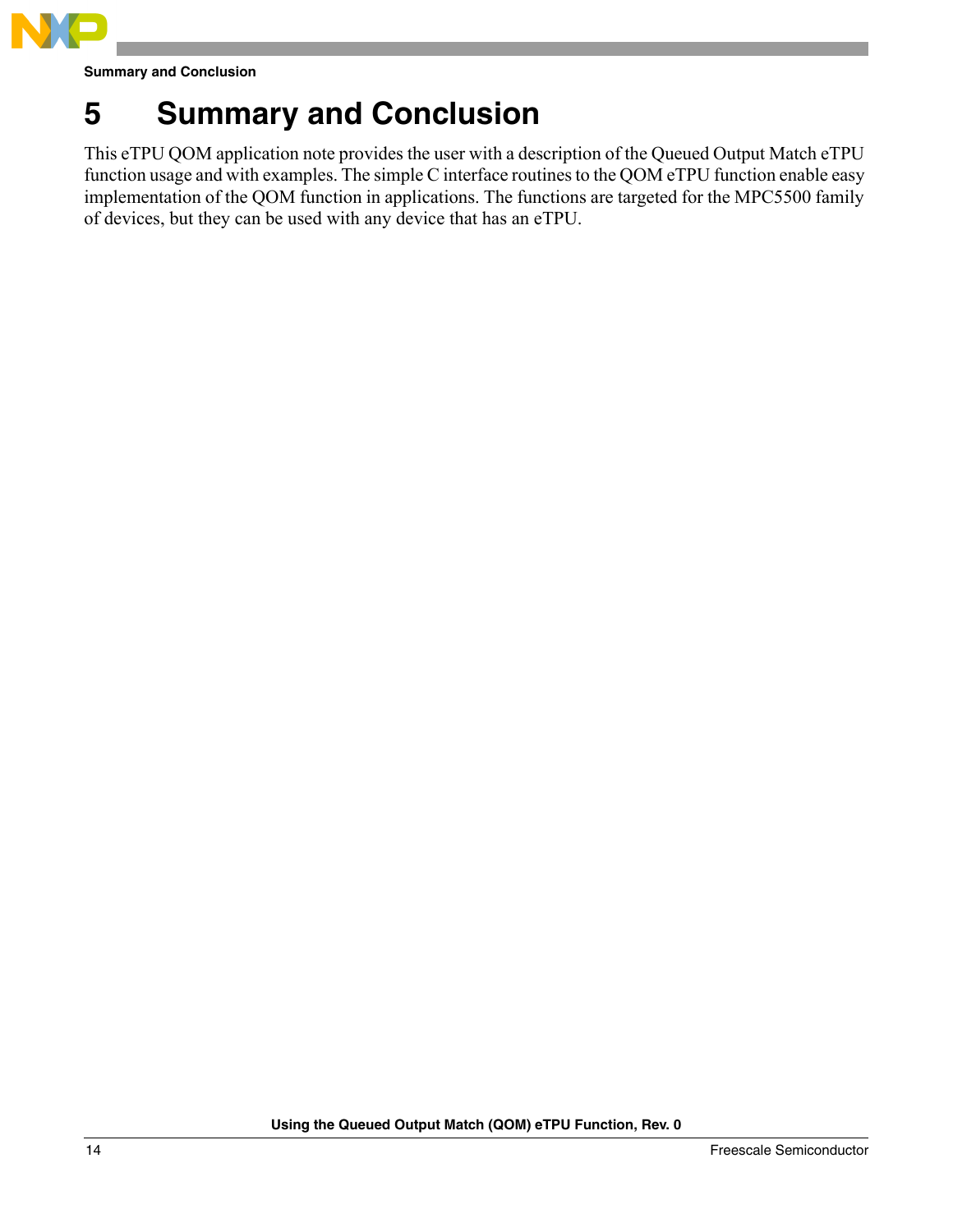

**Summary and Conclusion**

## <span id="page-13-0"></span>**5 Summary and Conclusion**

This eTPU QOM application note provides the user with a description of the Queued Output Match eTPU function usage and with examples. The simple C interface routines to the QOM eTPU function enable easy implementation of the QOM function in applications. The functions are targeted for the MPC5500 family of devices, but they can be used with any device that has an eTPU.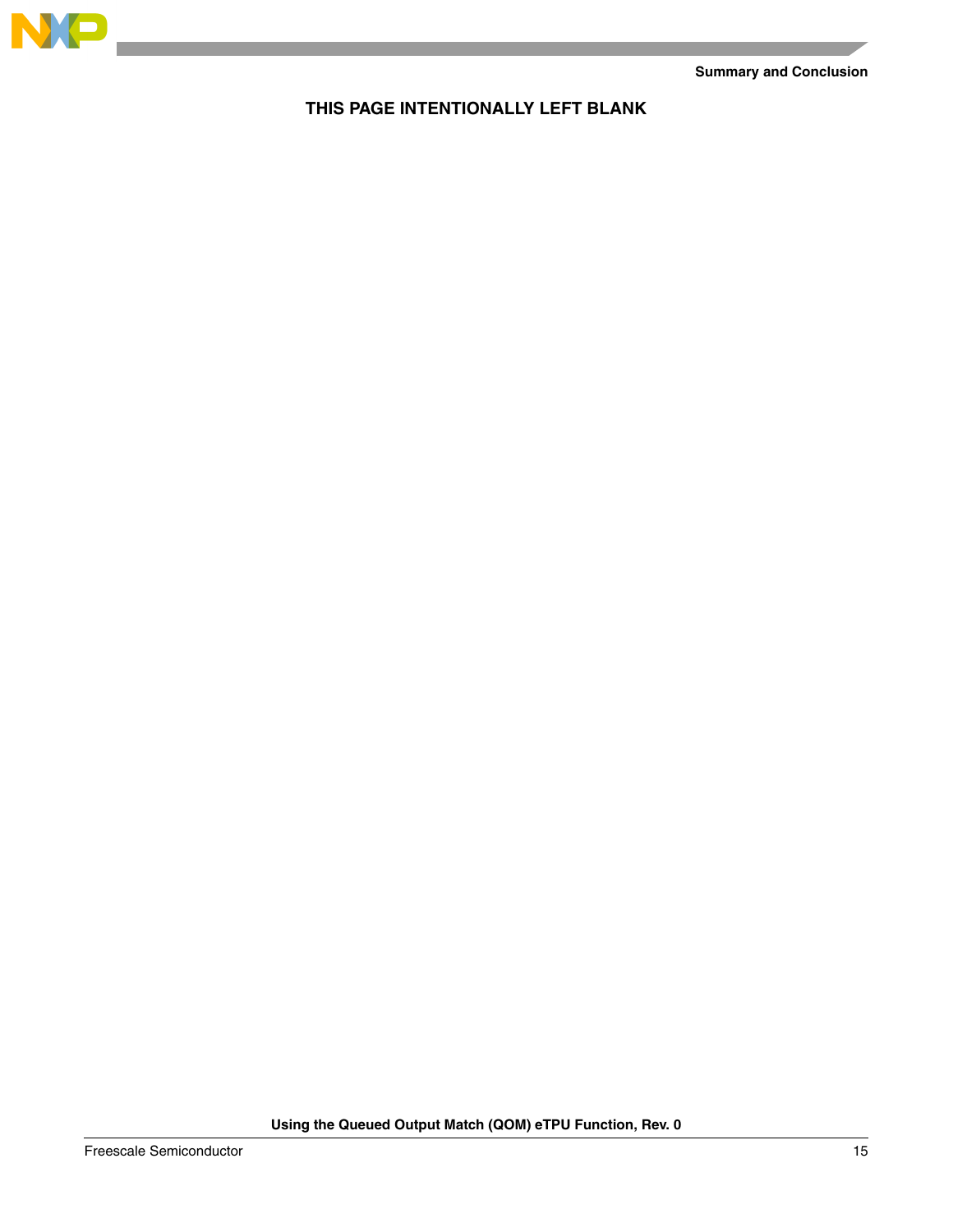

**Summary and Conclusion**

#### **THIS PAGE INTENTIONALLY LEFT BLANK**